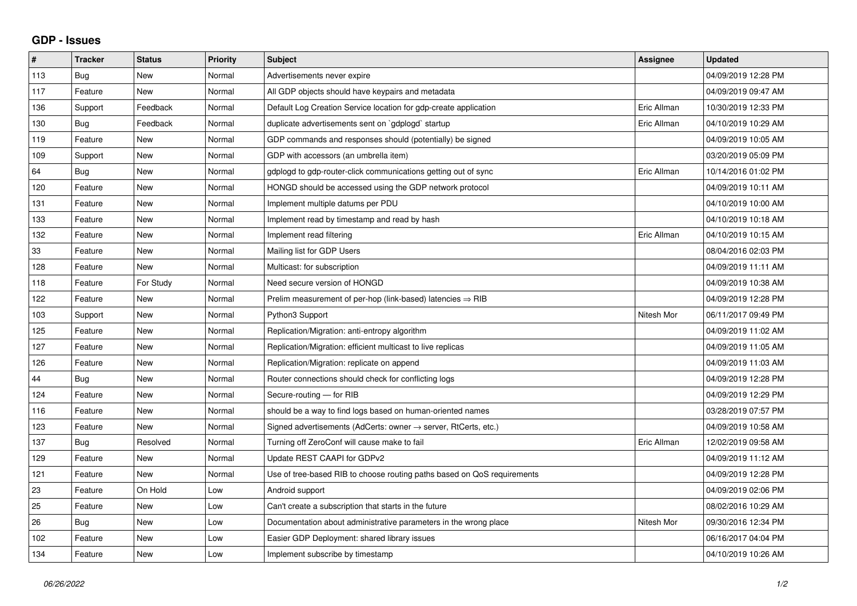## **GDP - Issues**

| #   | <b>Tracker</b> | <b>Status</b> | <b>Priority</b> | <b>Subject</b>                                                             | Assignee    | <b>Updated</b>      |
|-----|----------------|---------------|-----------------|----------------------------------------------------------------------------|-------------|---------------------|
| 113 | Bug            | <b>New</b>    | Normal          | Advertisements never expire                                                |             | 04/09/2019 12:28 PM |
| 117 | Feature        | <b>New</b>    | Normal          | All GDP objects should have keypairs and metadata                          |             | 04/09/2019 09:47 AM |
| 136 | Support        | Feedback      | Normal          | Default Log Creation Service location for gdp-create application           | Eric Allman | 10/30/2019 12:33 PM |
| 130 | Bug            | Feedback      | Normal          | duplicate advertisements sent on `gdplogd` startup                         | Eric Allman | 04/10/2019 10:29 AM |
| 119 | Feature        | <b>New</b>    | Normal          | GDP commands and responses should (potentially) be signed                  |             | 04/09/2019 10:05 AM |
| 109 | Support        | <b>New</b>    | Normal          | GDP with accessors (an umbrella item)                                      |             | 03/20/2019 05:09 PM |
| 64  | Bug            | <b>New</b>    | Normal          | gdplogd to gdp-router-click communications getting out of sync             | Eric Allman | 10/14/2016 01:02 PM |
| 120 | Feature        | <b>New</b>    | Normal          | HONGD should be accessed using the GDP network protocol                    |             | 04/09/2019 10:11 AM |
| 131 | Feature        | <b>New</b>    | Normal          | Implement multiple datums per PDU                                          |             | 04/10/2019 10:00 AM |
| 133 | Feature        | <b>New</b>    | Normal          | Implement read by timestamp and read by hash                               |             | 04/10/2019 10:18 AM |
| 132 | Feature        | <b>New</b>    | Normal          | Implement read filtering                                                   | Eric Allman | 04/10/2019 10:15 AM |
| 33  | Feature        | <b>New</b>    | Normal          | Mailing list for GDP Users                                                 |             | 08/04/2016 02:03 PM |
| 128 | Feature        | <b>New</b>    | Normal          | Multicast: for subscription                                                |             | 04/09/2019 11:11 AM |
| 118 | Feature        | For Study     | Normal          | Need secure version of HONGD                                               |             | 04/09/2019 10:38 AM |
| 122 | Feature        | <b>New</b>    | Normal          | Prelim measurement of per-hop (link-based) latencies $\Rightarrow$ RIB     |             | 04/09/2019 12:28 PM |
| 103 | Support        | <b>New</b>    | Normal          | Python3 Support                                                            | Nitesh Mor  | 06/11/2017 09:49 PM |
| 125 | Feature        | <b>New</b>    | Normal          | Replication/Migration: anti-entropy algorithm                              |             | 04/09/2019 11:02 AM |
| 127 | Feature        | <b>New</b>    | Normal          | Replication/Migration: efficient multicast to live replicas                |             | 04/09/2019 11:05 AM |
| 126 | Feature        | <b>New</b>    | Normal          | Replication/Migration: replicate on append                                 |             | 04/09/2019 11:03 AM |
| 44  | Bug            | <b>New</b>    | Normal          | Router connections should check for conflicting logs                       |             | 04/09/2019 12:28 PM |
| 124 | Feature        | <b>New</b>    | Normal          | Secure-routing - for RIB                                                   |             | 04/09/2019 12:29 PM |
| 116 | Feature        | <b>New</b>    | Normal          | should be a way to find logs based on human-oriented names                 |             | 03/28/2019 07:57 PM |
| 123 | Feature        | <b>New</b>    | Normal          | Signed advertisements (AdCerts: owner $\rightarrow$ server, RtCerts, etc.) |             | 04/09/2019 10:58 AM |
| 137 | Bug            | Resolved      | Normal          | Turning off ZeroConf will cause make to fail                               | Eric Allman | 12/02/2019 09:58 AM |
| 129 | Feature        | <b>New</b>    | Normal          | Update REST CAAPI for GDPv2                                                |             | 04/09/2019 11:12 AM |
| 121 | Feature        | New           | Normal          | Use of tree-based RIB to choose routing paths based on QoS requirements    |             | 04/09/2019 12:28 PM |
| 23  | Feature        | On Hold       | Low             | Android support                                                            |             | 04/09/2019 02:06 PM |
| 25  | Feature        | <b>New</b>    | Low             | Can't create a subscription that starts in the future                      |             | 08/02/2016 10:29 AM |
| 26  | <b>Bug</b>     | <b>New</b>    | Low             | Documentation about administrative parameters in the wrong place           | Nitesh Mor  | 09/30/2016 12:34 PM |
| 102 | Feature        | <b>New</b>    | Low             | Easier GDP Deployment: shared library issues                               |             | 06/16/2017 04:04 PM |
| 134 | Feature        | <b>New</b>    | Low             | Implement subscribe by timestamp                                           |             | 04/10/2019 10:26 AM |